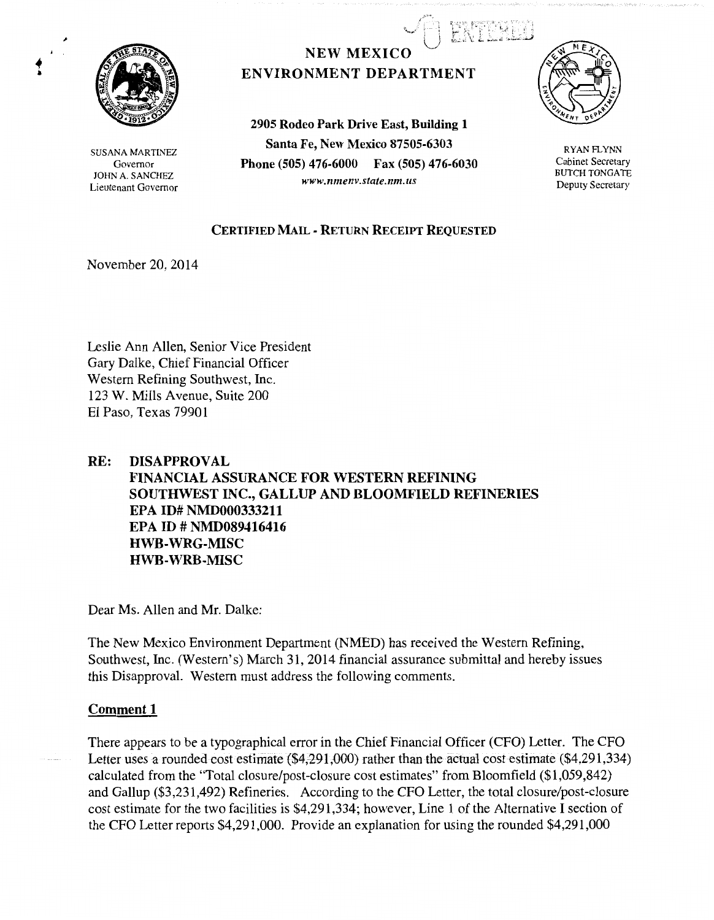

SUSANA MARTINEZ Governor JOHN A. SANCHEZ Lieutenant Governor

# **NEW MEXICO** ENVIRONMENT DEPARTMENT

2905 Rodeo Park Drive East, Building 1 Santa Fe, New Mexico 87505-6303 Phone (505) 476-6000 Fax (505) 476-6030 *www.nmenv.state.nm.us* 



.<br>.<br>1989: 1989: 1989: 1989 \ • • • ~! ,,..;  $L \simeq$ 

> RYAN FLYNN Cabinet Secretary BUTCH TONGATE Deputy Secretary

### CERTIFIED MAIL - RETURN RECEIPT REQUESTED

November 20, 2014

Leslie Ann Allen, Senior Vice President Gary Dalke, Chief Financial Officer Western Refining Southwest, Inc. 123 W. Mills A venue, Suite 200 El Paso, Texas 79901

#### RE: DISAPPROVAL

FINANCIAL ASSURANCE FOR WESTERN REFINING SOUTHWEST INC., GALLUP AND BLOOMFIELD REFINERIES EPA ID# NMD000333211 EPA ID# NMD089416416 HWB-WRG-MISC HWB-WRB-MISC

Dear Ms. Allen and Mr. Dalke:

The New Mexico Environment Department (NMED) has received the Western Refining, Southwest, Inc. (Western's) March 31, 2014 financial assurance submittal and hereby issues this Disapproval. Western must address the following comments.

### Comment 1

There appears to be a typographical error in the Chief Financial Officer (CFO) Letter. The CFO Letter uses a rounded cost estimate  $(*4,291,000)$  rather than the actual cost estimate  $(*4,291,334)$ calculated from the "Total closure/post-closure cost estimates" from Bloomfield (\$1,059,842) and Gallup (\$3,231,492) Refineries. According to the CFO Letter, the total closure/post-closure cost estimate for the two facilities is \$4,291,334; however, Line 1 of the Alternative I section of the CFO Letter reports \$4,291,000. Provide an explanation for using the rounded \$4,291,000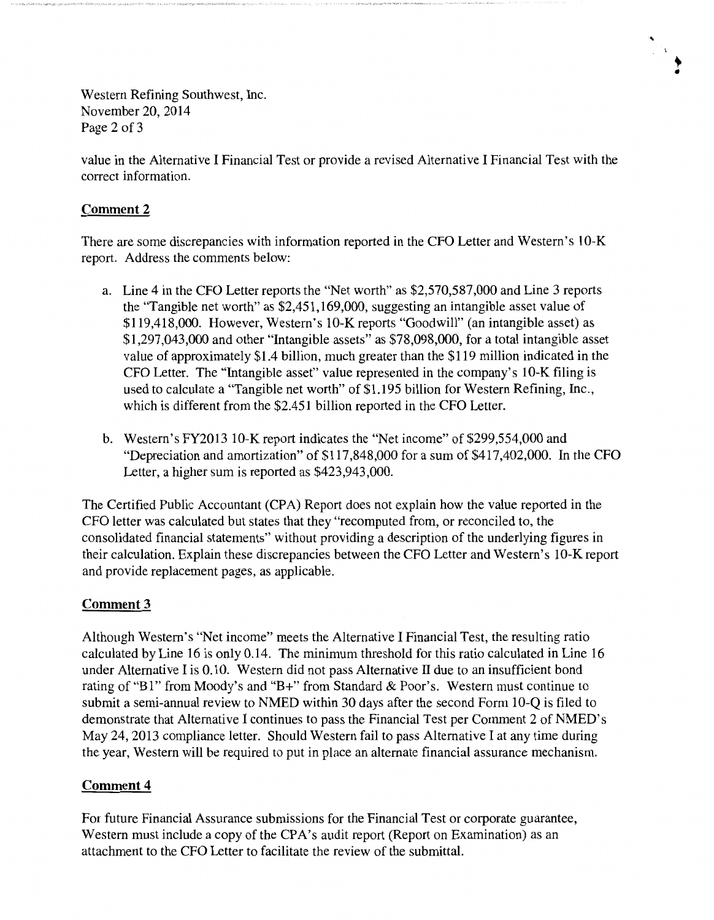Western Refining Southwest, Inc. November 20, 2014 Page 2 of 3

value in the Alternative I Financial Test or provide a revised Alternative I Financial Test with the correct information.

 $\frac{1}{2} \frac{1}{2} \frac{1}{4}$ 

## **Comment 2**

There are some discrepancies with information reported in the CFO Letter and Western's 10-K report. Address the comments below:

- a. Line 4 in the CFO Letter reports the "Net worth" as \$2,570,587,000 and Line 3 reports the "Tangible net worth" as \$2,451,169,000, suggesting an intangible asset value of \$119,418,000. However, Western's 10-K reports "Goodwill" (an intangible asset) as \$1,297,043,000 and other "Intangible assets" as \$78,098,000, for a total intangible asset value of approximately \$1.4 billion, much greater than the \$119 million indicated in the CFO Letter. The "Intangible asset" value represented in the company's 10-K filing is used to calculate a "Tangible net worth" of \$1.195 billion for Western Refining, Inc., which is different from the \$2.451 billion reported in the CFO Letter.
- b. Western's FY2013 10-K report indicates the "Net income" of \$299,554,000 and "Depreciation and amortization" of \$117 ,848,000 for a sum of \$417,402,000. In the CFO Letter, a higher sum is reported as \$423,943,000.

The Certified Public Accountant (CPA) Report does not explain how the value reported in the CFO letter was calculated but states that they "recomputed from, or reconciled to, the consolidated financial statements" without providing a description of the underlying figures in their calculation. Explain these discrepancies between the CFO Letter and Western's 10-K report and provide replacement pages, as applicable.

### **Comment3**

Although Western's "Net income" meets the Alternative I Financial Test, the resulting ratio calculated by Line 16 is only 0.14. The minimum threshold for this ratio calculated in Line 16 under Alternative I is 0.10. Western did not pass Alternative II due to an insufficient bond rating of "B1" from Moody's and "B+" from Standard & Poor's. Western must continue to submit a semi-annual review to NMED within 30 days after the second Form 10-Q is filed to demonstrate that Alternative I continues to pass the Financial Test per Comment 2 of NMED's May 24, 2013 compliance letter. Should Western fail to pass Alternative I at any time during the year, Western will be required to put in place an alternate financial assurance mechanism.

## **Comment 4**

For future Financial Assurance submissions for the Financial Test or corporate guarantee, Western must include a copy of the CPA's audit report (Report on Examination) as an attachment to the CFO Letter to facilitate the review of the submittal.